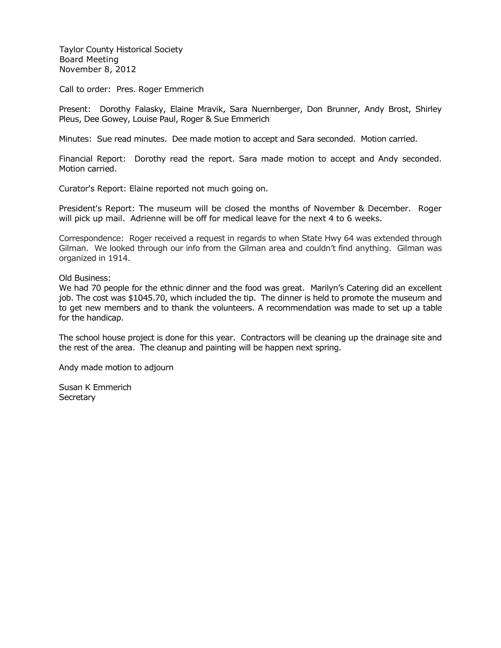Taylor County Historical Society Board Meeting November 8, 2012

Call to order: Pres. Roger Emmerich

Present: Dorothy Falasky, Elaine Mravik, Sara Nuernberger, Don Brunner, Andy Brost, Shirley Pleus, Dee Gowey, Louise Paul, Roger & Sue Emmerich

Minutes: Sue read minutes. Dee made motion to accept and Sara seconded. Motion carried.

Financial Report: Dorothy read the report. Sara made motion to accept and Andy seconded. Motion carried.

Curator's Report: Elaine reported not much going on.

President's Report: The museum will be closed the months of November & December. Roger will pick up mail. Adrienne will be off for medical leave for the next 4 to 6 weeks.

Correspondence: Roger received a request in regards to when State Hwy 64 was extended through Gilman. We looked through our info from the Gilman area and couldn't find anything. Gilman was organized in 1914.

Old Business:

We had 70 people for the ethnic dinner and the food was great. Marilyn's Catering did an excellent job. The cost was \$1045.70, which included the tip. The dinner is held to promote the museum and to get new members and to thank the volunteers. A recommendation was made to set up a table for the handicap.

The school house project is done for this year. Contractors will be cleaning up the drainage site and the rest of the area. The cleanup and painting will be happen next spring.

Andy made motion to adjourn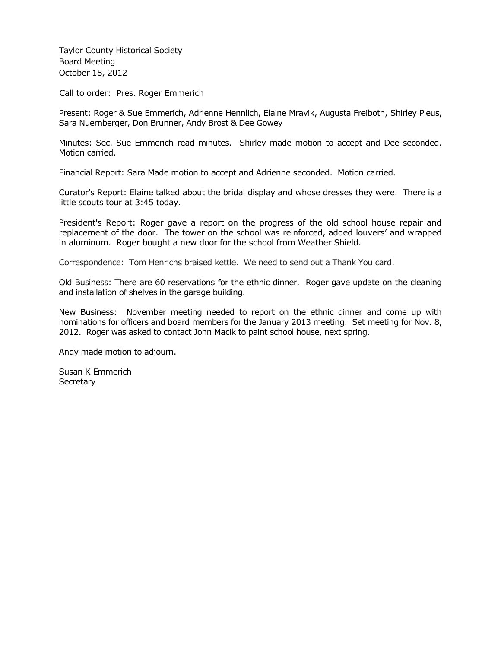Taylor County Historical Society Board Meeting October 18, 2012

Call to order: Pres. Roger Emmerich

Present: Roger & Sue Emmerich, Adrienne Hennlich, Elaine Mravik, Augusta Freiboth, Shirley Pleus, Sara Nuernberger, Don Brunner, Andy Brost & Dee Gowey

Minutes: Sec. Sue Emmerich read minutes. Shirley made motion to accept and Dee seconded. Motion carried.

Financial Report: Sara Made motion to accept and Adrienne seconded. Motion carried.

Curator's Report: Elaine talked about the bridal display and whose dresses they were. There is a little scouts tour at 3:45 today.

President's Report: Roger gave a report on the progress of the old school house repair and replacement of the door. The tower on the school was reinforced, added louvers' and wrapped in aluminum. Roger bought a new door for the school from Weather Shield.

Correspondence: Tom Henrichs braised kettle. We need to send out a Thank You card.

Old Business: There are 60 reservations for the ethnic dinner. Roger gave update on the cleaning and installation of shelves in the garage building.

New Business: November meeting needed to report on the ethnic dinner and come up with nominations for officers and board members for the January 2013 meeting. Set meeting for Nov. 8, 2012. Roger was asked to contact John Macik to paint school house, next spring.

Andy made motion to adjourn.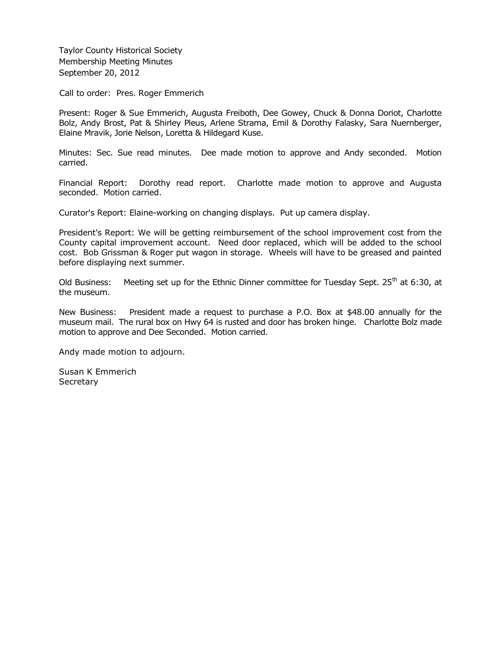Taylor County Historical Society Membership Meeting Minutes September 20, 2012

Call to order: Pres. Roger Emmerich

Present: Roger & Sue Emmerich, Augusta Freiboth, Dee Gowey, Chuck & Donna Doriot, Charlotte Bolz, Andy Brost, Pat & Shirley Pleus, Arlene Strama, Emil & Dorothy Falasky, Sara Nuernberger, Elaine Mravik, Jorie Nelson, Loretta & Hildegard Kuse.

Minutes: Sec. Sue read minutes. Dee made motion to approve and Andy seconded. Motion carried.

Financial Report: Dorothy read report. Charlotte made motion to approve and Augusta seconded. Motion carried.

Curator's Report: Elaine-working on changing displays. Put up camera display.

President's Report: We will be getting reimbursement of the school improvement cost from the County capital improvement account. Need door replaced, which will be added to the school cost. Bob Grissman & Roger put wagon in storage. Wheels will have to be greased and painted before displaying next summer.

Old Business: Meeting set up for the Ethnic Dinner committee for Tuesday Sept. 25<sup>th</sup> at 6:30, at the museum.

New Business: President made a request to purchase a P.O. Box at \$48.00 annually for the museum mail. The rural box on Hwy 64 is rusted and door has broken hinge. Charlotte Bolz made motion to approve and Dee Seconded. Motion carried.

Andy made motion to adjourn.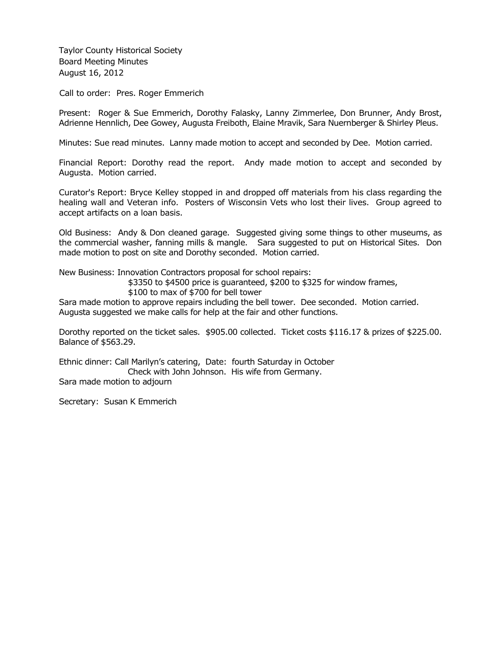Taylor County Historical Society Board Meeting Minutes August 16, 2012

Call to order: Pres. Roger Emmerich

Present: Roger & Sue Emmerich, Dorothy Falasky, Lanny Zimmerlee, Don Brunner, Andy Brost, Adrienne Hennlich, Dee Gowey, Augusta Freiboth, Elaine Mravik, Sara Nuernberger & Shirley Pleus.

Minutes: Sue read minutes. Lanny made motion to accept and seconded by Dee. Motion carried.

Financial Report: Dorothy read the report. Andy made motion to accept and seconded by Augusta. Motion carried.

Curator's Report: Bryce Kelley stopped in and dropped off materials from his class regarding the healing wall and Veteran info. Posters of Wisconsin Vets who lost their lives. Group agreed to accept artifacts on a loan basis.

Old Business: Andy & Don cleaned garage. Suggested giving some things to other museums, as the commercial washer, fanning mills & mangle. Sara suggested to put on Historical Sites. Don made motion to post on site and Dorothy seconded. Motion carried.

New Business: Innovation Contractors proposal for school repairs:

\$3350 to \$4500 price is guaranteed, \$200 to \$325 for window frames,

\$100 to max of \$700 for bell tower

Sara made motion to approve repairs including the bell tower. Dee seconded. Motion carried. Augusta suggested we make calls for help at the fair and other functions.

Dorothy reported on the ticket sales. \$905.00 collected. Ticket costs \$116.17 & prizes of \$225.00. Balance of \$563.29.

Ethnic dinner: Call Marilyn's catering, Date: fourth Saturday in October Check with John Johnson. His wife from Germany. Sara made motion to adjourn

Secretary: Susan K Emmerich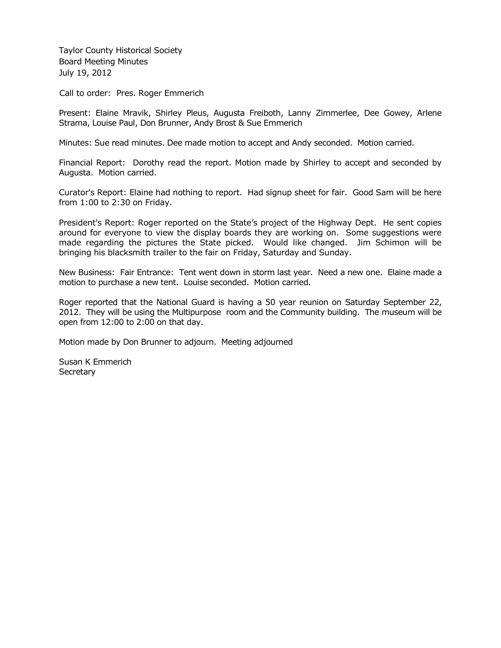Taylor County Historical Society Board Meeting Minutes July 19, 2012

Call to order: Pres. Roger Emmerich

Present: Elaine Mravik, Shirley Pleus, Augusta Freiboth, Lanny Zimmerlee, Dee Gowey, Arlene Strama, Louise Paul, Don Brunner, Andy Brost & Sue Emmerich

Minutes: Sue read minutes. Dee made motion to accept and Andy seconded. Motion carried.

Financial Report: Dorothy read the report. Motion made by Shirley to accept and seconded by Augusta. Motion carried.

Curator's Report: Elaine had nothing to report. Had signup sheet for fair. Good Sam will be here from 1:00 to 2:30 on Friday.

President's Report: Roger reported on the State's project of the Highway Dept. He sent copies around for everyone to view the display boards they are working on. Some suggestions were made regarding the pictures the State picked. Would like changed. Jim Schimon will be bringing his blacksmith trailer to the fair on Friday, Saturday and Sunday.

New Business: Fair Entrance: Tent went down in storm last year. Need a new one. Elaine made a motion to purchase a new tent. Louise seconded. Motion carried.

Roger reported that the National Guard is having a 50 year reunion on Saturday September 22, 2012. They will be using the Multipurpose room and the Community building. The museum will be open from 12:00 to 2:00 on that day.

Motion made by Don Brunner to adjourn. Meeting adjourned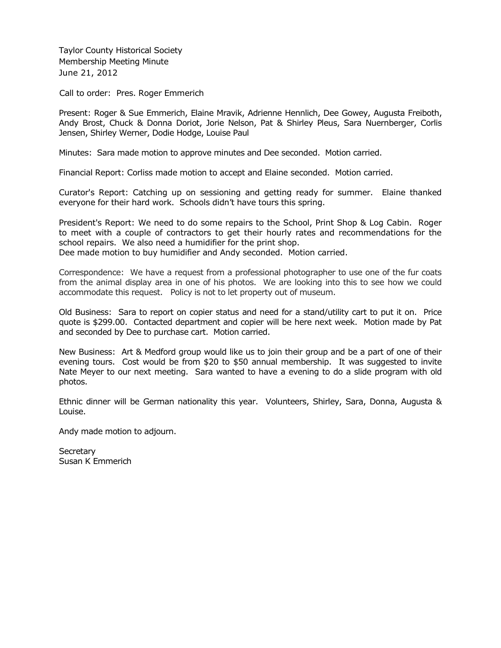Taylor County Historical Society Membership Meeting Minute June 21, 2012

Call to order: Pres. Roger Emmerich

Present: Roger & Sue Emmerich, Elaine Mravik, Adrienne Hennlich, Dee Gowey, Augusta Freiboth, Andy Brost, Chuck & Donna Doriot, Jorie Nelson, Pat & Shirley Pleus, Sara Nuernberger, Corlis Jensen, Shirley Werner, Dodie Hodge, Louise Paul

Minutes: Sara made motion to approve minutes and Dee seconded. Motion carried.

Financial Report: Corliss made motion to accept and Elaine seconded. Motion carried.

Curator's Report: Catching up on sessioning and getting ready for summer. Elaine thanked everyone for their hard work. Schools didn't have tours this spring.

President's Report: We need to do some repairs to the School, Print Shop & Log Cabin. Roger to meet with a couple of contractors to get their hourly rates and recommendations for the school repairs. We also need a humidifier for the print shop.

Dee made motion to buy humidifier and Andy seconded. Motion carried.

Correspondence: We have a request from a professional photographer to use one of the fur coats from the animal display area in one of his photos. We are looking into this to see how we could accommodate this request. Policy is not to let property out of museum.

Old Business: Sara to report on copier status and need for a stand/utility cart to put it on. Price quote is \$299.00. Contacted department and copier will be here next week. Motion made by Pat and seconded by Dee to purchase cart. Motion carried.

New Business: Art & Medford group would like us to join their group and be a part of one of their evening tours. Cost would be from \$20 to \$50 annual membership. It was suggested to invite Nate Meyer to our next meeting. Sara wanted to have a evening to do a slide program with old photos.

Ethnic dinner will be German nationality this year. Volunteers, Shirley, Sara, Donna, Augusta & Louise.

Andy made motion to adjourn.

Secretary Susan K Emmerich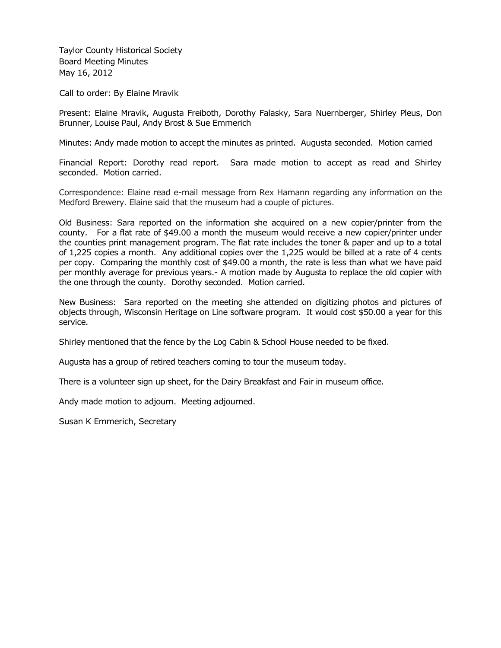Taylor County Historical Society Board Meeting Minutes May 16, 2012

Call to order: By Elaine Mravik

Present: Elaine Mravik, Augusta Freiboth, Dorothy Falasky, Sara Nuernberger, Shirley Pleus, Don Brunner, Louise Paul, Andy Brost & Sue Emmerich

Minutes: Andy made motion to accept the minutes as printed. Augusta seconded. Motion carried

Financial Report: Dorothy read report. Sara made motion to accept as read and Shirley seconded. Motion carried.

Correspondence: Elaine read e-mail message from Rex Hamann regarding any information on the Medford Brewery. Elaine said that the museum had a couple of pictures.

Old Business: Sara reported on the information she acquired on a new copier/printer from the county. For a flat rate of \$49.00 a month the museum would receive a new copier/printer under the counties print management program. The flat rate includes the toner & paper and up to a total of 1,225 copies a month. Any additional copies over the 1,225 would be billed at a rate of 4 cents per copy. Comparing the monthly cost of \$49.00 a month, the rate is less than what we have paid per monthly average for previous years.- A motion made by Augusta to replace the old copier with the one through the county. Dorothy seconded. Motion carried.

New Business: Sara reported on the meeting she attended on digitizing photos and pictures of objects through, Wisconsin Heritage on Line software program. It would cost \$50.00 a year for this service.

Shirley mentioned that the fence by the Log Cabin & School House needed to be fixed.

Augusta has a group of retired teachers coming to tour the museum today.

There is a volunteer sign up sheet, for the Dairy Breakfast and Fair in museum office.

Andy made motion to adjourn. Meeting adjourned.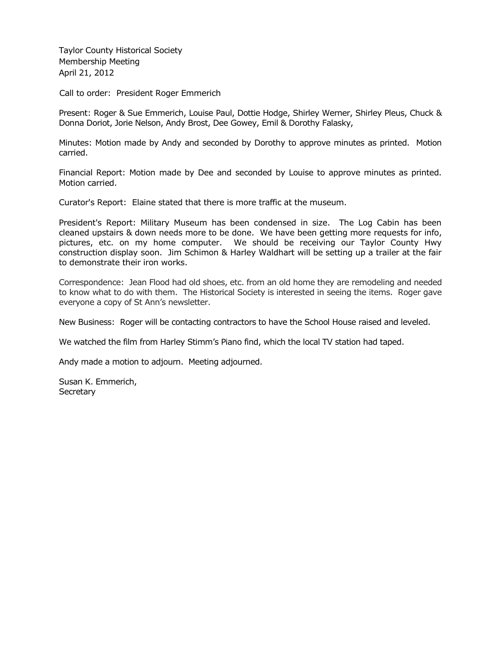Taylor County Historical Society Membership Meeting April 21, 2012

Call to order: President Roger Emmerich

Present: Roger & Sue Emmerich, Louise Paul, Dottie Hodge, Shirley Werner, Shirley Pleus, Chuck & Donna Doriot, Jorie Nelson, Andy Brost, Dee Gowey, Emil & Dorothy Falasky,

Minutes: Motion made by Andy and seconded by Dorothy to approve minutes as printed. Motion carried.

Financial Report: Motion made by Dee and seconded by Louise to approve minutes as printed. Motion carried.

Curator's Report: Elaine stated that there is more traffic at the museum.

President's Report: Military Museum has been condensed in size. The Log Cabin has been cleaned upstairs & down needs more to be done. We have been getting more requests for info, pictures, etc. on my home computer. We should be receiving our Taylor County Hwy construction display soon. Jim Schimon & Harley Waldhart will be setting up a trailer at the fair to demonstrate their iron works.

Correspondence: Jean Flood had old shoes, etc. from an old home they are remodeling and needed to know what to do with them. The Historical Society is interested in seeing the items. Roger gave everyone a copy of St Ann's newsletter.

New Business: Roger will be contacting contractors to have the School House raised and leveled.

We watched the film from Harley Stimm's Piano find, which the local TV station had taped.

Andy made a motion to adjourn. Meeting adjourned.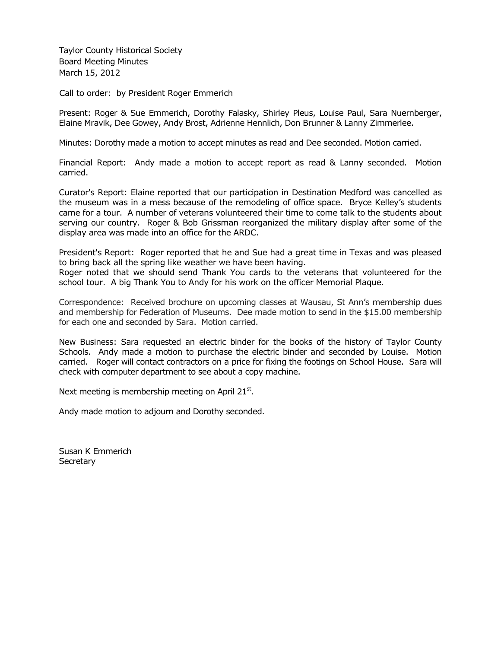Taylor County Historical Society Board Meeting Minutes March 15, 2012

Call to order: by President Roger Emmerich

Present: Roger & Sue Emmerich, Dorothy Falasky, Shirley Pleus, Louise Paul, Sara Nuernberger, Elaine Mravik, Dee Gowey, Andy Brost, Adrienne Hennlich, Don Brunner & Lanny Zimmerlee.

Minutes: Dorothy made a motion to accept minutes as read and Dee seconded. Motion carried.

Financial Report: Andy made a motion to accept report as read & Lanny seconded. Motion carried.

Curator's Report: Elaine reported that our participation in Destination Medford was cancelled as the museum was in a mess because of the remodeling of office space. Bryce Kelley's students came for a tour. A number of veterans volunteered their time to come talk to the students about serving our country. Roger & Bob Grissman reorganized the military display after some of the display area was made into an office for the ARDC.

President's Report: Roger reported that he and Sue had a great time in Texas and was pleased to bring back all the spring like weather we have been having.

Roger noted that we should send Thank You cards to the veterans that volunteered for the school tour. A big Thank You to Andy for his work on the officer Memorial Plaque.

Correspondence: Received brochure on upcoming classes at Wausau, St Ann's membership dues and membership for Federation of Museums. Dee made motion to send in the \$15.00 membership for each one and seconded by Sara. Motion carried.

New Business: Sara requested an electric binder for the books of the history of Taylor County Schools. Andy made a motion to purchase the electric binder and seconded by Louise. Motion carried. Roger will contact contractors on a price for fixing the footings on School House. Sara will check with computer department to see about a copy machine.

Next meeting is membership meeting on April  $21^{st}$ .

Andy made motion to adjourn and Dorothy seconded.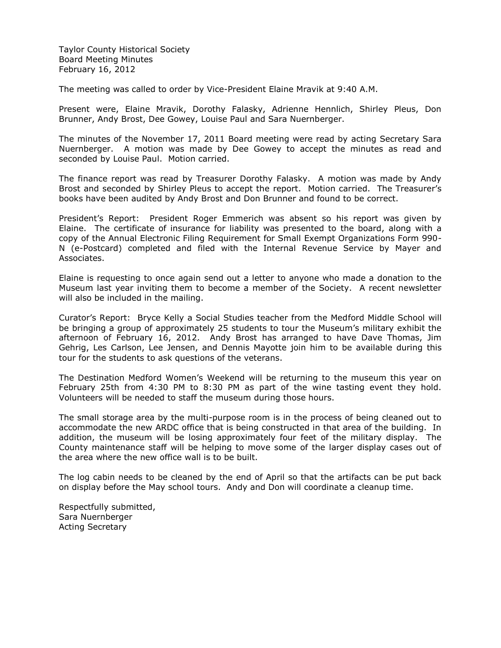Taylor County Historical Society Board Meeting Minutes February 16, 2012

The meeting was called to order by Vice-President Elaine Mravik at 9:40 A.M.

Present were, Elaine Mravik, Dorothy Falasky, Adrienne Hennlich, Shirley Pleus, Don Brunner, Andy Brost, Dee Gowey, Louise Paul and Sara Nuernberger.

The minutes of the November 17, 2011 Board meeting were read by acting Secretary Sara Nuernberger. A motion was made by Dee Gowey to accept the minutes as read and seconded by Louise Paul. Motion carried.

The finance report was read by Treasurer Dorothy Falasky. A motion was made by Andy Brost and seconded by Shirley Pleus to accept the report. Motion carried. The Treasurer's books have been audited by Andy Brost and Don Brunner and found to be correct.

President's Report: President Roger Emmerich was absent so his report was given by Elaine. The certificate of insurance for liability was presented to the board, along with a copy of the Annual Electronic Filing Requirement for Small Exempt Organizations Form 990- N (e-Postcard) completed and filed with the Internal Revenue Service by Mayer and Associates.

Elaine is requesting to once again send out a letter to anyone who made a donation to the Museum last year inviting them to become a member of the Society. A recent newsletter will also be included in the mailing.

Curator's Report: Bryce Kelly a Social Studies teacher from the Medford Middle School will be bringing a group of approximately 25 students to tour the Museum's military exhibit the afternoon of February 16, 2012. Andy Brost has arranged to have Dave Thomas, Jim Gehrig, Les Carlson, Lee Jensen, and Dennis Mayotte join him to be available during this tour for the students to ask questions of the veterans.

The Destination Medford Women's Weekend will be returning to the museum this year on February 25th from 4:30 PM to 8:30 PM as part of the wine tasting event they hold. Volunteers will be needed to staff the museum during those hours.

The small storage area by the multi-purpose room is in the process of being cleaned out to accommodate the new ARDC office that is being constructed in that area of the building. In addition, the museum will be losing approximately four feet of the military display. The County maintenance staff will be helping to move some of the larger display cases out of the area where the new office wall is to be built.

The log cabin needs to be cleaned by the end of April so that the artifacts can be put back on display before the May school tours. Andy and Don will coordinate a cleanup time.

Respectfully submitted, Sara Nuernberger Acting Secretary